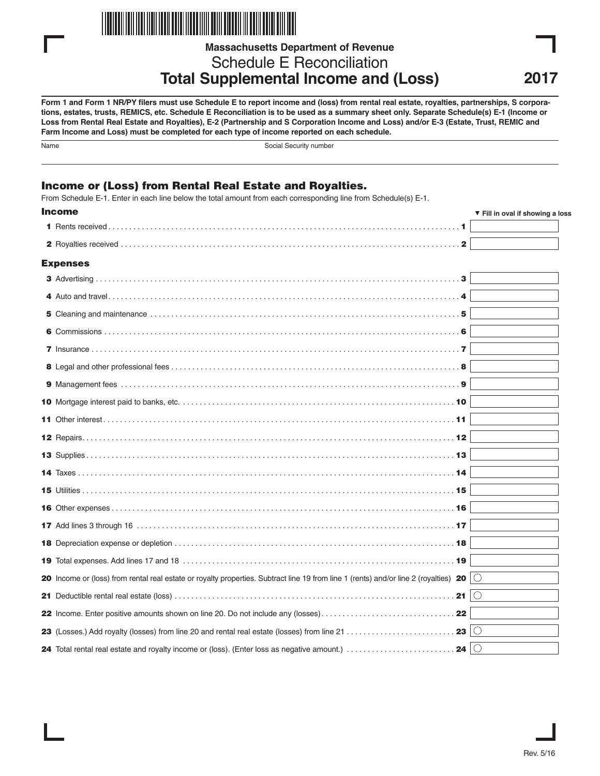

**Massachusetts Department of Revenue**

Schedule E Reconciliation **Total Supplemental Income and (Loss)**

**Form 1 and Form 1 NR/PY filers must use Schedule E to report income and (loss) from rental real estate, royalties, partnerships, S corporations, estates, trusts, REMICS, etc. Schedule E Reconciliation is to be used as a summary sheet only. Separate Schedule(s) E-1 (Income or Loss from Rental Real Estate and Royalties), E-2 (Partnership and S Corporation Income and Loss) and/or E-3 (Estate, Trust, REMIC and Farm Income and Loss) must be completed for each type of income reported on each schedule.**

Name Social Security number

## **Income or (Loss) from Rental Real Estate and Royalties.**

From Schedule E-1. Enter in each line below the total amount from each corresponding line from Schedule(s) E-1.

| Income                                                                                                                                                           | ▼ Fill in oval if showing a loss |  |
|------------------------------------------------------------------------------------------------------------------------------------------------------------------|----------------------------------|--|
|                                                                                                                                                                  |                                  |  |
|                                                                                                                                                                  |                                  |  |
| <b>Expenses</b>                                                                                                                                                  |                                  |  |
|                                                                                                                                                                  |                                  |  |
|                                                                                                                                                                  |                                  |  |
|                                                                                                                                                                  |                                  |  |
|                                                                                                                                                                  |                                  |  |
|                                                                                                                                                                  |                                  |  |
|                                                                                                                                                                  |                                  |  |
|                                                                                                                                                                  |                                  |  |
|                                                                                                                                                                  |                                  |  |
|                                                                                                                                                                  |                                  |  |
|                                                                                                                                                                  |                                  |  |
|                                                                                                                                                                  |                                  |  |
|                                                                                                                                                                  |                                  |  |
|                                                                                                                                                                  |                                  |  |
|                                                                                                                                                                  |                                  |  |
|                                                                                                                                                                  |                                  |  |
|                                                                                                                                                                  |                                  |  |
|                                                                                                                                                                  |                                  |  |
| 20 Income or (loss) from rental real estate or royalty properties. Subtract line 19 from line 1 (rents) and/or line 2 (royalties) 20 $\vert$ $\circ$             |                                  |  |
|                                                                                                                                                                  |                                  |  |
|                                                                                                                                                                  |                                  |  |
| <b>23</b> (Losses.) Add royalty (losses) from line 20 and rental real estate (losses) from line 21 $\ldots\ldots\ldots\ldots\ldots\ldots\ldots$ . 23 $ \bigcirc$ |                                  |  |
| 24 $\circ$<br>24 Total rental real estate and royalty income or (loss). (Enter loss as negative amount.)                                                         |                                  |  |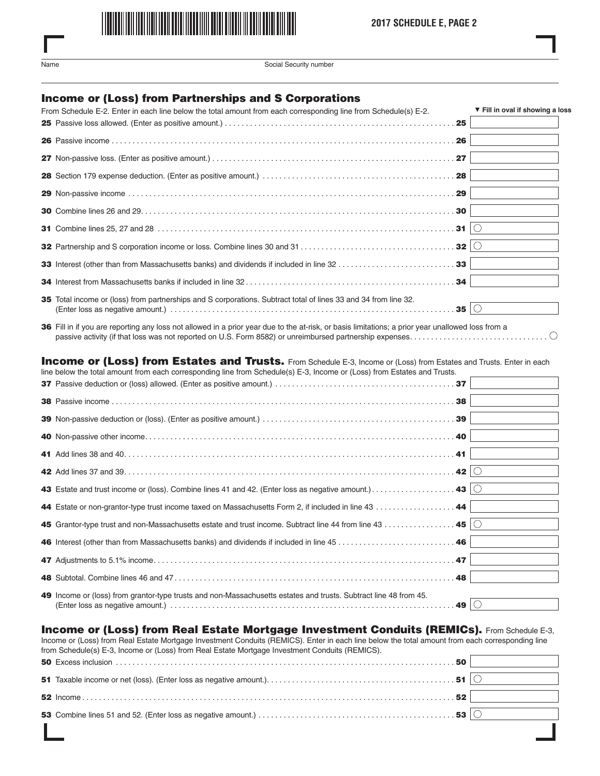

Social Security number

### **Income or (Loss) from Partnerships and S Corporations**

| From Schedule E-2. Enter in each line below the total amount from each corresponding line from Schedule(s) E-2.                 | ▼ Fill in oval if showing a loss |
|---------------------------------------------------------------------------------------------------------------------------------|----------------------------------|
|                                                                                                                                 |                                  |
|                                                                                                                                 |                                  |
|                                                                                                                                 |                                  |
|                                                                                                                                 |                                  |
|                                                                                                                                 |                                  |
|                                                                                                                                 |                                  |
|                                                                                                                                 |                                  |
|                                                                                                                                 |                                  |
|                                                                                                                                 |                                  |
|                                                                                                                                 |                                  |
| 35 Total income or (loss) from partnerships and S corporations. Subtract total of lines 33 and 34 from line 32.<br>. 35 $\circ$ |                                  |

 Fill in if you are reporting any loss not allowed in a prior year due to the at-risk, or basis limitations; a prior year unallowed loss from a passive activity (if that loss was not reported on U.S. Form 8582) or unreimbursed partnership expenses. . . . . . . . . . . . . . . . . . . . . . . . . . . . . . . . .

#### **Income or (Loss) from Estates and Trusts.** From Schedule E-3, Income or (Loss) from Estates and Trusts. Enter in each line below the total amount from each corresponding line from Schedule(s) E-3, Income or (Loss) from Estates and Trusts.

| $m$ is below the total amount non-equit corresponding line non-equications = 0, income or (E033) non-estates and musta. |    |  |
|-------------------------------------------------------------------------------------------------------------------------|----|--|
|                                                                                                                         |    |  |
|                                                                                                                         | 38 |  |
|                                                                                                                         |    |  |
|                                                                                                                         |    |  |
|                                                                                                                         |    |  |
|                                                                                                                         |    |  |
|                                                                                                                         |    |  |
| 44 Estate or non-grantor-type trust income taxed on Massachusetts Form 2, if included in line 43 44                     |    |  |
| 45 Grantor-type trust and non-Massachusetts estate and trust income. Subtract line 44 from line 43 45 $\circ$           |    |  |
|                                                                                                                         |    |  |
|                                                                                                                         |    |  |
|                                                                                                                         |    |  |
| 49 Income or (loss) from grantor-type trusts and non-Massachusetts estates and trusts. Subtract line 48 from 45.        |    |  |

### **Income or (Loss) from Real Estate Mortgage Investment Conduits (REMICs).** From Schedule E-3,

Income or (Loss) from Real Estate Mortgage Investment Conduits (REMICS). Enter in each line below the total amount from each corresponding line from Schedule(s) E-3, Income or (Loss) from Real Estate Mortgage Investment Conduits (REMICS).